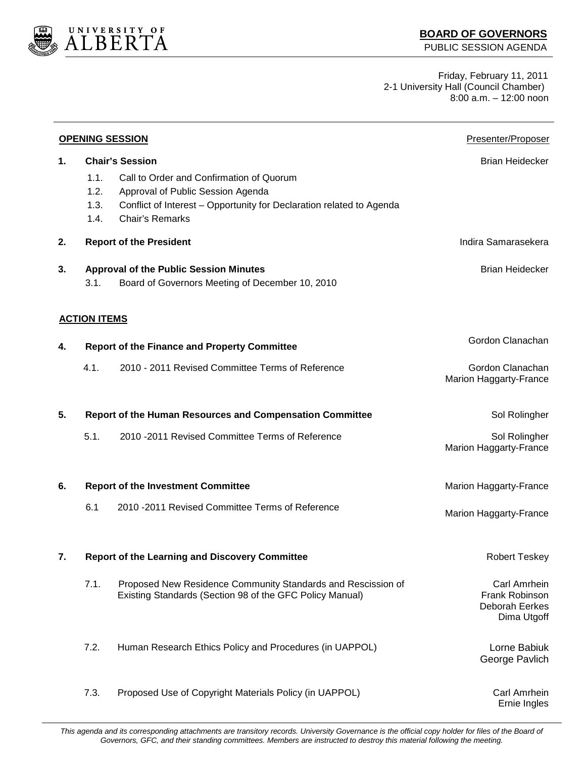

Friday, February 11, 2011 2-1 University Hall (Council Chamber)  $8:00$  a.m.  $-12:00$  noon

| <b>OPENING SESSION</b> |                                                          |                                                                                                                                                                                                           | Presenter/Proposer                                              |
|------------------------|----------------------------------------------------------|-----------------------------------------------------------------------------------------------------------------------------------------------------------------------------------------------------------|-----------------------------------------------------------------|
| 1.                     | 1.1.<br>1.2.<br>1.3.<br>1.4.                             | <b>Chair's Session</b><br>Call to Order and Confirmation of Quorum<br>Approval of Public Session Agenda<br>Conflict of Interest - Opportunity for Declaration related to Agenda<br><b>Chair's Remarks</b> | <b>Brian Heidecker</b>                                          |
| 2.                     | Indira Samarasekera<br><b>Report of the President</b>    |                                                                                                                                                                                                           |                                                                 |
| 3.                     | 3.1.                                                     | <b>Approval of the Public Session Minutes</b><br>Board of Governors Meeting of December 10, 2010                                                                                                          | <b>Brian Heidecker</b>                                          |
|                        | <b>ACTION ITEMS</b>                                      |                                                                                                                                                                                                           |                                                                 |
| 4.                     |                                                          | <b>Report of the Finance and Property Committee</b>                                                                                                                                                       | Gordon Clanachan                                                |
|                        | 4.1.                                                     | 2010 - 2011 Revised Committee Terms of Reference                                                                                                                                                          | Gordon Clanachan<br>Marion Haggarty-France                      |
| 5.                     | Report of the Human Resources and Compensation Committee |                                                                                                                                                                                                           | Sol Rolingher                                                   |
|                        | 5.1.                                                     | 2010 - 2011 Revised Committee Terms of Reference                                                                                                                                                          | Sol Rolingher<br>Marion Haggarty-France                         |
| 6.                     | <b>Report of the Investment Committee</b>                |                                                                                                                                                                                                           | Marion Haggarty-France                                          |
|                        | 6.1                                                      | 2010 - 2011 Revised Committee Terms of Reference                                                                                                                                                          | Marion Haggarty-France                                          |
| 7.                     | <b>Report of the Learning and Discovery Committee</b>    |                                                                                                                                                                                                           | <b>Robert Teskey</b>                                            |
|                        | 7.1.                                                     | Proposed New Residence Community Standards and Rescission of<br>Existing Standards (Section 98 of the GFC Policy Manual)                                                                                  | Carl Amrhein<br>Frank Robinson<br>Deborah Eerkes<br>Dima Utgoff |
|                        | 7.2.                                                     | Human Research Ethics Policy and Procedures (in UAPPOL)                                                                                                                                                   | Lorne Babiuk<br>George Pavlich                                  |
|                        | 7.3.                                                     | Proposed Use of Copyright Materials Policy (in UAPPOL)                                                                                                                                                    | Carl Amrhein<br>Ernie Ingles                                    |

This agenda and its corresponding attachments are transitory records. University Governance is the official copy holder for files of the Board of *Governors, GFC, and their standing committees. Members are instructed to destroy this material following the meeting.*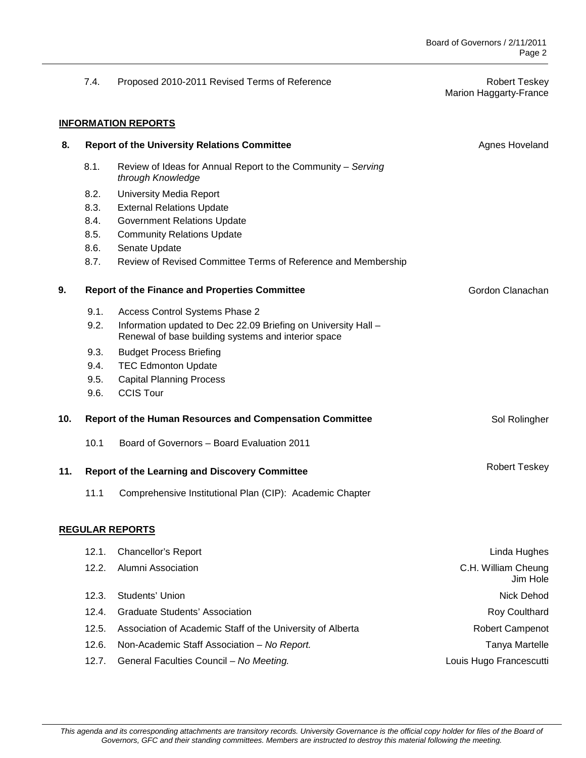Marion Haggarty-France

## 7.4. Proposed 2010-2011 Revised Terms of Reference **Robert Teskey** Robert Teskey

## **INFORMATION REPORTS**

| 8.  |                                                          | <b>Report of the University Relations Committee</b>                                                                   | Agnes Hoveland                  |
|-----|----------------------------------------------------------|-----------------------------------------------------------------------------------------------------------------------|---------------------------------|
|     | 8.1.                                                     | Review of Ideas for Annual Report to the Community - Serving<br>through Knowledge                                     |                                 |
|     | 8.2.                                                     | <b>University Media Report</b>                                                                                        |                                 |
|     | 8.3.                                                     | <b>External Relations Update</b>                                                                                      |                                 |
|     | 8.4.                                                     | <b>Government Relations Update</b>                                                                                    |                                 |
|     | 8.5.                                                     | <b>Community Relations Update</b>                                                                                     |                                 |
|     | 8.6.                                                     | Senate Update                                                                                                         |                                 |
|     | 8.7.                                                     | Review of Revised Committee Terms of Reference and Membership                                                         |                                 |
| 9.  | <b>Report of the Finance and Properties Committee</b>    |                                                                                                                       | Gordon Clanachan                |
|     | 9.1.                                                     | Access Control Systems Phase 2                                                                                        |                                 |
|     | 9.2.                                                     | Information updated to Dec 22.09 Briefing on University Hall -<br>Renewal of base building systems and interior space |                                 |
|     | 9.3.                                                     | <b>Budget Process Briefing</b>                                                                                        |                                 |
|     | 9.4.                                                     | <b>TEC Edmonton Update</b>                                                                                            |                                 |
|     | 9.5.                                                     | <b>Capital Planning Process</b>                                                                                       |                                 |
|     | 9.6.                                                     | <b>CCIS Tour</b>                                                                                                      |                                 |
| 10. | Report of the Human Resources and Compensation Committee |                                                                                                                       | Sol Rolingher                   |
|     | 10.1                                                     | Board of Governors - Board Evaluation 2011                                                                            |                                 |
| 11. | <b>Report of the Learning and Discovery Committee</b>    |                                                                                                                       | <b>Robert Teskey</b>            |
|     | 11.1                                                     | Comprehensive Institutional Plan (CIP): Academic Chapter                                                              |                                 |
|     |                                                          | <b>REGULAR REPORTS</b>                                                                                                |                                 |
|     | 12.1.                                                    | <b>Chancellor's Report</b>                                                                                            | Linda Hughes                    |
|     | 12.2.                                                    | Alumni Association                                                                                                    | C.H. William Cheung<br>Jim Hole |
|     | 12.3.                                                    | Students' Union                                                                                                       | Nick Dehod                      |
|     | 12.4.                                                    | <b>Graduate Students' Association</b>                                                                                 | Roy Coulthard                   |
|     | 12.5.                                                    | Association of Academic Staff of the University of Alberta                                                            | <b>Robert Campenot</b>          |
|     | 12.6.                                                    | Non-Academic Staff Association - No Report.                                                                           | <b>Tanya Martelle</b>           |
|     | 12.7.                                                    | General Faculties Council - No Meeting.                                                                               | Louis Hugo Francescutti         |